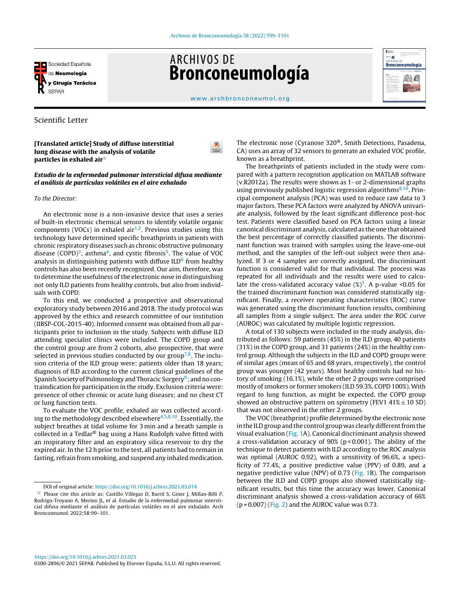

# **ARCHIVOS DE** Bronconeumología



[www.archbronconeumol.org](http://www.archbronconeumol.org)

## Scientific Letter

[Translated article] Study of diffuse interstitial lung disease with the analysis of volatile particles in exhaled air $^{\star}$ 

#### Estudio de la enfermedad pulmonar intersticial difusa mediante el análisis de partículas volátiles en el aire exhalado

#### To the Director:

An electronic nose is a non-invasive device that uses a series of built-in electronic chemical sensors to identify volatile organic components (VOCs) in exhaled air $1,2$ . Previous studies using this technology have determined specific breathprints in patients with chronic respiratory diseases such as chronic obstructive pulmonary disease (COPD)<sup>[3](#page-1-0)</sup>, asthma<sup>[4](#page-1-0)</sup>, and cystic fibrosis<sup>[5](#page-1-0)</sup>. The value of VOC analysis in distinguishing patients with diffuse ILD $<sup>6</sup>$  $<sup>6</sup>$  $<sup>6</sup>$  from healthy</sup> controls has also been recently recognized. Our aim, therefore, was to determine the usefulness of the electronic nose in distinguishing not only ILD patients from healthy controls, but also from individuals with COPD.

To this end, we conducted a prospective and observational exploratory study between 2016 and 2018. The study protocol was approved by the ethics and research committee of our institution (IIBSP-COL-2015-40). Informed consent was obtained from all participants prior to inclusion in the study. Subjects with diffuse ILD attending specialist clinics were included. The COPD group and the control group are from 2 cohorts, also prospective, that were selected in previous studies conducted by our group<sup>[7,8](#page-1-0)</sup>. The inclusion criteria of the ILD group were: patients older than 18 years; diagnosis of ILD according to the current clinical guidelines of the Spanish Society of Pulmonology and Thoracic Surgery<sup>9</sup>[;](#page-1-0) and no contraindication for participation in the study. Exclusion criteria were: presence of other chronic or acute lung diseases; and no chest CT or lung function tests.

To evaluate the VOC profile, exhaled air was collected accord-ing to the methodology described elsewhere<sup>[4,5,8,10](#page-1-0)</sup>. Essentially, the subject breathes at tidal volume for 3 min and a breath sample is collected in a Tedlar® bag using a Hans Rudolph valve fitted with an inspiratory filter and an expiratory silica reservoir to dry the expired air. In the 12 h prior to the test, all patients had to remain in fasting, refrain from smoking, and suspend any inhaled medication.

The electronic nose (Cyranose 320®, Smith Detections, Pasadena, CA) uses an array of 32 sensors to generate an exhaled VOC profile, known as a breathprint.

The breathprints of patients included in the study were compared with a pattern recognition application on MATLAB software (v.R2012a). The results were shown as 1- or 2-dimensional graphs using previously published logistic regression algorithms<sup>[8,10](#page-1-0)</sup>. Principal component analysis (PCA) was used to reduce raw data to 3 major factors. These PCA factors were analyzed by ANOVA univariate analysis, followed by the least significant difference post-hoc test. Patients were classified based on PCA factors using a linear canonical discriminant analysis, calculated as the one that obtained the best percentage of correctly classified patients. The discriminant function was trained with samples using the leave-one-out method, and the samples of the left-out subject were then analyzed. If 3 or 4 samples are correctly assigned, the discriminant function is considered valid for that individual. The process was repeated for all individuals and the results were used to calculate the cross-validated accuracy value  $(\%)^3$  $(\%)^3$ . A p-value <0.05 for the trained discriminant function was considered statistically significant. Finally, a receiver operating characteristics (ROC) curve was generated using the discriminant function results, combining all samples from a single subject. The area under the ROC curve (AUROC) was calculated by multiple logistic regression.

A total of 130 subjects were included in the study analysis, distributed as follows: 59 patients (45%) in the ILD group, 40 patients (31%) in the COPD group, and 31 patients (24%) in the healthy control group. Although the subjects in the ILD and COPD groups were of similar ages (mean of 65 and 68 years, respectively), the control group was younger (42 years). Most healthy controls had no history of smoking (16.1%), while the other 2 groups were comprised mostly of smokers or former smokers (ILD 59.3%, COPD 100%). With regard to lung function, as might be expected, the COPD group showed an obstructive pattern on spirometry (FEV1  $41\% \pm 10$  SD) that was not observed in the other 2 groups.

The VOC (breathprint) profile determined by the electronic nose in the ILD group and the control group was clearly different from the visual evaluation ([Fig.](#page-1-0) 1A). Canonical discriminant analysis showed a cross-validation accuracy of  $90\%$  ( $p < 0.001$ ). The ability of the technique to detect patients with ILD according to the ROC analysis was optimal (AUROC 0.92), with a sensitivity of 96.6%, a specificity of 77.4%, a positive predictive value (PPV) of 0.89, and a negative predictive value (NPV) of 0.73 [\(Fig.](#page-1-0) 1B). The comparison between the ILD and COPD groups also showed statistically significant results, but this time the accuracy was lower. Canonical discriminant analysis showed a cross-validation accuracy of 66%  $(p = 0.007)$  [\(Fig.](#page-1-0) 2) and the AUROC value was 0.73.

<https://doi.org/10.1016/j.arbres.2021.03.023> 0300-2896/© 2021 SEPAR. Published by Elsevier España, S.L.U. All rights reserved.

DOI of original article: <https://doi.org/10.1016/j.arbres.2021.03.014>

 $\overrightarrow{x}$  Please cite this article as: Castillo Villegas D, Barril S, Giner J, Millan-Billi P, Rodrigo-Troyano A, Merino JL, et al. Estudio de la enfermedad pulmonar intersticial difusa mediante el análisis de partículas volátiles en el aire exhalado. Arch Bronconeumol. 2022;58:99–101.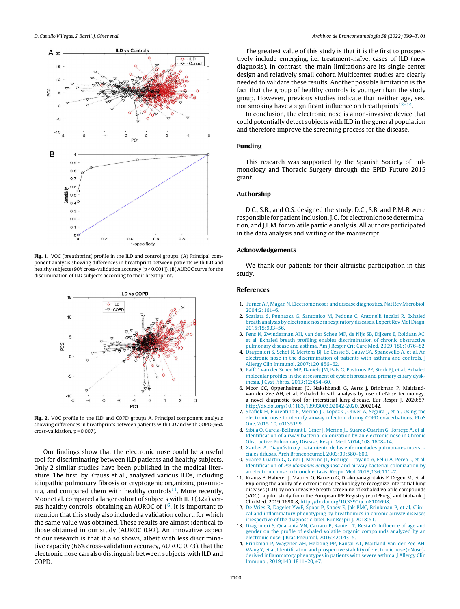<span id="page-1-0"></span>

Fig. 1. VOC (breathprint) profile in the ILD and control groups. (A) Principal component analysis showing differences in breathprint between patients with ILD and healthy subjects (90% cross-validation accuracy [p < 0.001]).(B) AUROC curve for the discrimination of ILD subjects according to their breathprint.



Fig. 2. VOC profile in the ILD and COPD groups A. Principal component analysis showing differences in breathprints between patients with ILD and with COPD (66%  $cross-validation, p = 0.007$ ).

Our findings show that the electronic nose could be a useful tool for discriminating between ILD patients and healthy subjects. Only 2 similar studies have been published in the medical literature. The first, by Krauss et al., analyzed various ILDs, including idiopathic pulmonary fibrosis or cryptogenic organizing pneumonia, and compared them with healthy controls<sup>11</sup>. More recently, Moor et al. compared a larger cohort of subjects with ILD (322) versus healthy controls, obtaining an AUROC of  $1<sup>6</sup>$ . It is important to mention that this study also included a validation cohort, for which the same value was obtained. These results are almost identical to those obtained in our study (AUROC 0.92). An innovative aspect of our research is that it also shows, albeit with less discriminative capacity (66% cross-validation accuracy, AUROC 0.73), that the electronic nose can also distinguish between subjects with ILD and COPD.

The greatest value of this study is that it is the first to prospectively include emerging, i.e. treatment-naïve, cases of ILD (new diagnosis). In contrast, the main limitations are its single-center design and relatively small cohort. Multicenter studies are clearly needed to validate these results. Another possible limitation is the fact that the group of healthy controls is younger than the study group. However, previous studies indicate that neither age, sex, nor smoking have a significant influence on breathprints $12-14$ .

In conclusion, the electronic nose is a non-invasive device that could potentially detect subjects with ILD in the general population and therefore improve the screening process for the disease.

## Funding

This research was supported by the Spanish Society of Pulmonology and Thoracic Surgery through the EPID Futuro 2015 grant.

### Authorship

D.C., S.B., and O.S. designed the study. D.C., S.B. and P.M-B were responsible for patient inclusion, J.G. for electronic nose determination, and J.L.M. for volatile particle analysis. All authors participated in the data analysis and writing of the manuscript.

#### Acknowledgements

We thank our patients for their altruistic participation in this study.

#### References

- 1. [TurnerAP,](http://refhub.elsevier.com/S0300-2896(21)00400-2/sbref0005) [Magan](http://refhub.elsevier.com/S0300-2896(21)00400-2/sbref0005) [N.](http://refhub.elsevier.com/S0300-2896(21)00400-2/sbref0005) [Electronic](http://refhub.elsevier.com/S0300-2896(21)00400-2/sbref0005) [noses](http://refhub.elsevier.com/S0300-2896(21)00400-2/sbref0005) [and](http://refhub.elsevier.com/S0300-2896(21)00400-2/sbref0005) [disease](http://refhub.elsevier.com/S0300-2896(21)00400-2/sbref0005) [diagnostics.](http://refhub.elsevier.com/S0300-2896(21)00400-2/sbref0005) [Nat](http://refhub.elsevier.com/S0300-2896(21)00400-2/sbref0005) [Rev](http://refhub.elsevier.com/S0300-2896(21)00400-2/sbref0005) [Microbiol.](http://refhub.elsevier.com/S0300-2896(21)00400-2/sbref0005) [2004;2:161–6.](http://refhub.elsevier.com/S0300-2896(21)00400-2/sbref0005)
- 2. [Scarlata](http://refhub.elsevier.com/S0300-2896(21)00400-2/sbref0010) [S,](http://refhub.elsevier.com/S0300-2896(21)00400-2/sbref0010) [Pennazza](http://refhub.elsevier.com/S0300-2896(21)00400-2/sbref0010) [G,](http://refhub.elsevier.com/S0300-2896(21)00400-2/sbref0010) [Santonico](http://refhub.elsevier.com/S0300-2896(21)00400-2/sbref0010) [M,](http://refhub.elsevier.com/S0300-2896(21)00400-2/sbref0010) [Pedone](http://refhub.elsevier.com/S0300-2896(21)00400-2/sbref0010) [C,](http://refhub.elsevier.com/S0300-2896(21)00400-2/sbref0010) [Antonelli](http://refhub.elsevier.com/S0300-2896(21)00400-2/sbref0010) [Incalzi](http://refhub.elsevier.com/S0300-2896(21)00400-2/sbref0010) [R.](http://refhub.elsevier.com/S0300-2896(21)00400-2/sbref0010) [Exhaled](http://refhub.elsevier.com/S0300-2896(21)00400-2/sbref0010) [breath](http://refhub.elsevier.com/S0300-2896(21)00400-2/sbref0010) [analysis](http://refhub.elsevier.com/S0300-2896(21)00400-2/sbref0010) [by](http://refhub.elsevier.com/S0300-2896(21)00400-2/sbref0010) [electronic](http://refhub.elsevier.com/S0300-2896(21)00400-2/sbref0010) [nose](http://refhub.elsevier.com/S0300-2896(21)00400-2/sbref0010) [in](http://refhub.elsevier.com/S0300-2896(21)00400-2/sbref0010) [respiratory](http://refhub.elsevier.com/S0300-2896(21)00400-2/sbref0010) [diseases.](http://refhub.elsevier.com/S0300-2896(21)00400-2/sbref0010) [Expert](http://refhub.elsevier.com/S0300-2896(21)00400-2/sbref0010) [Rev](http://refhub.elsevier.com/S0300-2896(21)00400-2/sbref0010) [Mol](http://refhub.elsevier.com/S0300-2896(21)00400-2/sbref0010) [Diagn.](http://refhub.elsevier.com/S0300-2896(21)00400-2/sbref0010) [2015;15:933](http://refhub.elsevier.com/S0300-2896(21)00400-2/sbref0010)–[56.](http://refhub.elsevier.com/S0300-2896(21)00400-2/sbref0010)
- 3. [Fens](http://refhub.elsevier.com/S0300-2896(21)00400-2/sbref0015) [N,](http://refhub.elsevier.com/S0300-2896(21)00400-2/sbref0015) [Zwinderman](http://refhub.elsevier.com/S0300-2896(21)00400-2/sbref0015) [AH,](http://refhub.elsevier.com/S0300-2896(21)00400-2/sbref0015) [van](http://refhub.elsevier.com/S0300-2896(21)00400-2/sbref0015) [der](http://refhub.elsevier.com/S0300-2896(21)00400-2/sbref0015) [Schee](http://refhub.elsevier.com/S0300-2896(21)00400-2/sbref0015) [MP,](http://refhub.elsevier.com/S0300-2896(21)00400-2/sbref0015) [de](http://refhub.elsevier.com/S0300-2896(21)00400-2/sbref0015) [Nijs](http://refhub.elsevier.com/S0300-2896(21)00400-2/sbref0015) [SB,](http://refhub.elsevier.com/S0300-2896(21)00400-2/sbref0015) [Dijkers](http://refhub.elsevier.com/S0300-2896(21)00400-2/sbref0015) [E,](http://refhub.elsevier.com/S0300-2896(21)00400-2/sbref0015) [Roldaan](http://refhub.elsevier.com/S0300-2896(21)00400-2/sbref0015) [AC,](http://refhub.elsevier.com/S0300-2896(21)00400-2/sbref0015) [et](http://refhub.elsevier.com/S0300-2896(21)00400-2/sbref0015) [al.](http://refhub.elsevier.com/S0300-2896(21)00400-2/sbref0015) [Exhaled](http://refhub.elsevier.com/S0300-2896(21)00400-2/sbref0015) [breath](http://refhub.elsevier.com/S0300-2896(21)00400-2/sbref0015) [profiling](http://refhub.elsevier.com/S0300-2896(21)00400-2/sbref0015) [enables](http://refhub.elsevier.com/S0300-2896(21)00400-2/sbref0015) [discrimination](http://refhub.elsevier.com/S0300-2896(21)00400-2/sbref0015) [of](http://refhub.elsevier.com/S0300-2896(21)00400-2/sbref0015) [chronic](http://refhub.elsevier.com/S0300-2896(21)00400-2/sbref0015) [obstructive](http://refhub.elsevier.com/S0300-2896(21)00400-2/sbref0015) [pulmonary](http://refhub.elsevier.com/S0300-2896(21)00400-2/sbref0015) [disease](http://refhub.elsevier.com/S0300-2896(21)00400-2/sbref0015) [and](http://refhub.elsevier.com/S0300-2896(21)00400-2/sbref0015) [asthma.](http://refhub.elsevier.com/S0300-2896(21)00400-2/sbref0015) [Am](http://refhub.elsevier.com/S0300-2896(21)00400-2/sbref0015) [J](http://refhub.elsevier.com/S0300-2896(21)00400-2/sbref0015) [Respir](http://refhub.elsevier.com/S0300-2896(21)00400-2/sbref0015) [Crit](http://refhub.elsevier.com/S0300-2896(21)00400-2/sbref0015) [Care](http://refhub.elsevier.com/S0300-2896(21)00400-2/sbref0015) [Med.](http://refhub.elsevier.com/S0300-2896(21)00400-2/sbref0015) [2009;180:1076](http://refhub.elsevier.com/S0300-2896(21)00400-2/sbref0015)–[82.](http://refhub.elsevier.com/S0300-2896(21)00400-2/sbref0015)
- 4. [Dragonieri](http://refhub.elsevier.com/S0300-2896(21)00400-2/sbref0020) [S,](http://refhub.elsevier.com/S0300-2896(21)00400-2/sbref0020) [Schot](http://refhub.elsevier.com/S0300-2896(21)00400-2/sbref0020) [R,](http://refhub.elsevier.com/S0300-2896(21)00400-2/sbref0020) [Mertens](http://refhub.elsevier.com/S0300-2896(21)00400-2/sbref0020) [BJ,](http://refhub.elsevier.com/S0300-2896(21)00400-2/sbref0020) [Le](http://refhub.elsevier.com/S0300-2896(21)00400-2/sbref0020) [Cessie](http://refhub.elsevier.com/S0300-2896(21)00400-2/sbref0020) [S,](http://refhub.elsevier.com/S0300-2896(21)00400-2/sbref0020) [Gauw](http://refhub.elsevier.com/S0300-2896(21)00400-2/sbref0020) [SA,](http://refhub.elsevier.com/S0300-2896(21)00400-2/sbref0020) [Spanevello](http://refhub.elsevier.com/S0300-2896(21)00400-2/sbref0020) [A,](http://refhub.elsevier.com/S0300-2896(21)00400-2/sbref0020) [et](http://refhub.elsevier.com/S0300-2896(21)00400-2/sbref0020) [al.](http://refhub.elsevier.com/S0300-2896(21)00400-2/sbref0020) [An](http://refhub.elsevier.com/S0300-2896(21)00400-2/sbref0020) [electronic](http://refhub.elsevier.com/S0300-2896(21)00400-2/sbref0020) [nose](http://refhub.elsevier.com/S0300-2896(21)00400-2/sbref0020) [in](http://refhub.elsevier.com/S0300-2896(21)00400-2/sbref0020) [the](http://refhub.elsevier.com/S0300-2896(21)00400-2/sbref0020) [discrimination](http://refhub.elsevier.com/S0300-2896(21)00400-2/sbref0020) [of](http://refhub.elsevier.com/S0300-2896(21)00400-2/sbref0020) [patients](http://refhub.elsevier.com/S0300-2896(21)00400-2/sbref0020) [with](http://refhub.elsevier.com/S0300-2896(21)00400-2/sbref0020) [asthma](http://refhub.elsevier.com/S0300-2896(21)00400-2/sbref0020) [and](http://refhub.elsevier.com/S0300-2896(21)00400-2/sbref0020) [controls.](http://refhub.elsevier.com/S0300-2896(21)00400-2/sbref0020) [J](http://refhub.elsevier.com/S0300-2896(21)00400-2/sbref0020) [Allergy](http://refhub.elsevier.com/S0300-2896(21)00400-2/sbref0020) [Clin](http://refhub.elsevier.com/S0300-2896(21)00400-2/sbref0020) [Immunol.](http://refhub.elsevier.com/S0300-2896(21)00400-2/sbref0020) [2007;120:856](http://refhub.elsevier.com/S0300-2896(21)00400-2/sbref0020)–[62.](http://refhub.elsevier.com/S0300-2896(21)00400-2/sbref0020)
- 5. [Paff](http://refhub.elsevier.com/S0300-2896(21)00400-2/sbref0025) [T,](http://refhub.elsevier.com/S0300-2896(21)00400-2/sbref0025) [van](http://refhub.elsevier.com/S0300-2896(21)00400-2/sbref0025) [der](http://refhub.elsevier.com/S0300-2896(21)00400-2/sbref0025) [Schee](http://refhub.elsevier.com/S0300-2896(21)00400-2/sbref0025) [MP,](http://refhub.elsevier.com/S0300-2896(21)00400-2/sbref0025) [Daniels](http://refhub.elsevier.com/S0300-2896(21)00400-2/sbref0025) [JM,](http://refhub.elsevier.com/S0300-2896(21)00400-2/sbref0025) [Pals](http://refhub.elsevier.com/S0300-2896(21)00400-2/sbref0025) [G,](http://refhub.elsevier.com/S0300-2896(21)00400-2/sbref0025) [Postmus](http://refhub.elsevier.com/S0300-2896(21)00400-2/sbref0025) [PE,](http://refhub.elsevier.com/S0300-2896(21)00400-2/sbref0025) [Sterk](http://refhub.elsevier.com/S0300-2896(21)00400-2/sbref0025) [PJ,](http://refhub.elsevier.com/S0300-2896(21)00400-2/sbref0025) [et](http://refhub.elsevier.com/S0300-2896(21)00400-2/sbref0025) [al.](http://refhub.elsevier.com/S0300-2896(21)00400-2/sbref0025) [Exhaled](http://refhub.elsevier.com/S0300-2896(21)00400-2/sbref0025) [molecular](http://refhub.elsevier.com/S0300-2896(21)00400-2/sbref0025) [profiles](http://refhub.elsevier.com/S0300-2896(21)00400-2/sbref0025) [in](http://refhub.elsevier.com/S0300-2896(21)00400-2/sbref0025) [the](http://refhub.elsevier.com/S0300-2896(21)00400-2/sbref0025) [assessment](http://refhub.elsevier.com/S0300-2896(21)00400-2/sbref0025) [of](http://refhub.elsevier.com/S0300-2896(21)00400-2/sbref0025) [cystic](http://refhub.elsevier.com/S0300-2896(21)00400-2/sbref0025) [fibrosis](http://refhub.elsevier.com/S0300-2896(21)00400-2/sbref0025) [and](http://refhub.elsevier.com/S0300-2896(21)00400-2/sbref0025) [primary](http://refhub.elsevier.com/S0300-2896(21)00400-2/sbref0025) [ciliary](http://refhub.elsevier.com/S0300-2896(21)00400-2/sbref0025) [dysk](http://refhub.elsevier.com/S0300-2896(21)00400-2/sbref0025)[inesia.](http://refhub.elsevier.com/S0300-2896(21)00400-2/sbref0025) [J](http://refhub.elsevier.com/S0300-2896(21)00400-2/sbref0025) [Cyst](http://refhub.elsevier.com/S0300-2896(21)00400-2/sbref0025) [Fibros.](http://refhub.elsevier.com/S0300-2896(21)00400-2/sbref0025) [2013;12:454–60.](http://refhub.elsevier.com/S0300-2896(21)00400-2/sbref0025)
- 6. Moor CC, Oppenheimer JC, Nakshbandi G, Aerts J, Brinkman P, Maitlandvan der Zee AH, et al. Exhaled breath analysis by use of eNose technology: a novel diagnostic tool for interstitial lung disease. Eur Respir J. 2020;57, [http://dx.doi.org/10.1183/13993003.02042-2020,](dx.doi.org/10.1183/13993003.02042-2020) 2002042.
- 7. [Shafiek](http://refhub.elsevier.com/S0300-2896(21)00400-2/sbref0035) [H,](http://refhub.elsevier.com/S0300-2896(21)00400-2/sbref0035) [Fiorentino](http://refhub.elsevier.com/S0300-2896(21)00400-2/sbref0035) [F,](http://refhub.elsevier.com/S0300-2896(21)00400-2/sbref0035) [Merino](http://refhub.elsevier.com/S0300-2896(21)00400-2/sbref0035) [JL,](http://refhub.elsevier.com/S0300-2896(21)00400-2/sbref0035) [Lopez](http://refhub.elsevier.com/S0300-2896(21)00400-2/sbref0035) [C,](http://refhub.elsevier.com/S0300-2896(21)00400-2/sbref0035) [Oliver](http://refhub.elsevier.com/S0300-2896(21)00400-2/sbref0035) [A,](http://refhub.elsevier.com/S0300-2896(21)00400-2/sbref0035) [Segura](http://refhub.elsevier.com/S0300-2896(21)00400-2/sbref0035) [J,](http://refhub.elsevier.com/S0300-2896(21)00400-2/sbref0035) [et](http://refhub.elsevier.com/S0300-2896(21)00400-2/sbref0035) [al.](http://refhub.elsevier.com/S0300-2896(21)00400-2/sbref0035) [Using](http://refhub.elsevier.com/S0300-2896(21)00400-2/sbref0035) [the](http://refhub.elsevier.com/S0300-2896(21)00400-2/sbref0035) [electronic](http://refhub.elsevier.com/S0300-2896(21)00400-2/sbref0035) [nose](http://refhub.elsevier.com/S0300-2896(21)00400-2/sbref0035) [to](http://refhub.elsevier.com/S0300-2896(21)00400-2/sbref0035) [identify](http://refhub.elsevier.com/S0300-2896(21)00400-2/sbref0035) [airway](http://refhub.elsevier.com/S0300-2896(21)00400-2/sbref0035) [infection](http://refhub.elsevier.com/S0300-2896(21)00400-2/sbref0035) [during](http://refhub.elsevier.com/S0300-2896(21)00400-2/sbref0035) [COPD](http://refhub.elsevier.com/S0300-2896(21)00400-2/sbref0035) [exacerbations.](http://refhub.elsevier.com/S0300-2896(21)00400-2/sbref0035) [PLoS](http://refhub.elsevier.com/S0300-2896(21)00400-2/sbref0035) [One.](http://refhub.elsevier.com/S0300-2896(21)00400-2/sbref0035) [2015;10,](http://refhub.elsevier.com/S0300-2896(21)00400-2/sbref0035) [e0135199.](http://refhub.elsevier.com/S0300-2896(21)00400-2/sbref0035)
- 8. [Sibila](http://refhub.elsevier.com/S0300-2896(21)00400-2/sbref0040) [O,](http://refhub.elsevier.com/S0300-2896(21)00400-2/sbref0040) [Garcia-Bellmunt](http://refhub.elsevier.com/S0300-2896(21)00400-2/sbref0040) [L,](http://refhub.elsevier.com/S0300-2896(21)00400-2/sbref0040) [Giner](http://refhub.elsevier.com/S0300-2896(21)00400-2/sbref0040) [J,](http://refhub.elsevier.com/S0300-2896(21)00400-2/sbref0040) [Merino](http://refhub.elsevier.com/S0300-2896(21)00400-2/sbref0040) [JL,](http://refhub.elsevier.com/S0300-2896(21)00400-2/sbref0040) [Suarez-Cuartin](http://refhub.elsevier.com/S0300-2896(21)00400-2/sbref0040) [G,](http://refhub.elsevier.com/S0300-2896(21)00400-2/sbref0040) [Torrego](http://refhub.elsevier.com/S0300-2896(21)00400-2/sbref0040) [A,](http://refhub.elsevier.com/S0300-2896(21)00400-2/sbref0040) [et](http://refhub.elsevier.com/S0300-2896(21)00400-2/sbref0040) [al.](http://refhub.elsevier.com/S0300-2896(21)00400-2/sbref0040) [Identification](http://refhub.elsevier.com/S0300-2896(21)00400-2/sbref0040) [of](http://refhub.elsevier.com/S0300-2896(21)00400-2/sbref0040) [airway](http://refhub.elsevier.com/S0300-2896(21)00400-2/sbref0040) [bacterial](http://refhub.elsevier.com/S0300-2896(21)00400-2/sbref0040) [colonization](http://refhub.elsevier.com/S0300-2896(21)00400-2/sbref0040) [by](http://refhub.elsevier.com/S0300-2896(21)00400-2/sbref0040) [an](http://refhub.elsevier.com/S0300-2896(21)00400-2/sbref0040) [electronic](http://refhub.elsevier.com/S0300-2896(21)00400-2/sbref0040) [nose](http://refhub.elsevier.com/S0300-2896(21)00400-2/sbref0040) [in](http://refhub.elsevier.com/S0300-2896(21)00400-2/sbref0040) [Chronic](http://refhub.elsevier.com/S0300-2896(21)00400-2/sbref0040) [Obstructive](http://refhub.elsevier.com/S0300-2896(21)00400-2/sbref0040) [Pulmonary](http://refhub.elsevier.com/S0300-2896(21)00400-2/sbref0040) [Disease.](http://refhub.elsevier.com/S0300-2896(21)00400-2/sbref0040) [Respir](http://refhub.elsevier.com/S0300-2896(21)00400-2/sbref0040) [Med.](http://refhub.elsevier.com/S0300-2896(21)00400-2/sbref0040) [2014;108:1608–14.](http://refhub.elsevier.com/S0300-2896(21)00400-2/sbref0040)
- 9. [Xaubet](http://refhub.elsevier.com/S0300-2896(21)00400-2/sbref0045) [A.](http://refhub.elsevier.com/S0300-2896(21)00400-2/sbref0045) [Diagnóstico](http://refhub.elsevier.com/S0300-2896(21)00400-2/sbref0045) [y](http://refhub.elsevier.com/S0300-2896(21)00400-2/sbref0045) [tratamiento](http://refhub.elsevier.com/S0300-2896(21)00400-2/sbref0045) [de](http://refhub.elsevier.com/S0300-2896(21)00400-2/sbref0045) [las](http://refhub.elsevier.com/S0300-2896(21)00400-2/sbref0045) [enfermedades](http://refhub.elsevier.com/S0300-2896(21)00400-2/sbref0045) [pulmonares](http://refhub.elsevier.com/S0300-2896(21)00400-2/sbref0045) [intersti](http://refhub.elsevier.com/S0300-2896(21)00400-2/sbref0045)[ciales](http://refhub.elsevier.com/S0300-2896(21)00400-2/sbref0045) [difusas.](http://refhub.elsevier.com/S0300-2896(21)00400-2/sbref0045) [Arch](http://refhub.elsevier.com/S0300-2896(21)00400-2/sbref0045) [Bronconeumol.](http://refhub.elsevier.com/S0300-2896(21)00400-2/sbref0045) [2003;39:580–600.](http://refhub.elsevier.com/S0300-2896(21)00400-2/sbref0045)
- 10. [Suarez-Cuartin](http://refhub.elsevier.com/S0300-2896(21)00400-2/sbref0050) [G,](http://refhub.elsevier.com/S0300-2896(21)00400-2/sbref0050) [Giner](http://refhub.elsevier.com/S0300-2896(21)00400-2/sbref0050) [J,](http://refhub.elsevier.com/S0300-2896(21)00400-2/sbref0050) [Merino](http://refhub.elsevier.com/S0300-2896(21)00400-2/sbref0050) [JL,](http://refhub.elsevier.com/S0300-2896(21)00400-2/sbref0050) [Rodrigo-Troyano](http://refhub.elsevier.com/S0300-2896(21)00400-2/sbref0050) [A,](http://refhub.elsevier.com/S0300-2896(21)00400-2/sbref0050) [Feliu](http://refhub.elsevier.com/S0300-2896(21)00400-2/sbref0050) [A,](http://refhub.elsevier.com/S0300-2896(21)00400-2/sbref0050) [Perea](http://refhub.elsevier.com/S0300-2896(21)00400-2/sbref0050) [L,](http://refhub.elsevier.com/S0300-2896(21)00400-2/sbref0050) [et](http://refhub.elsevier.com/S0300-2896(21)00400-2/sbref0050) [al.](http://refhub.elsevier.com/S0300-2896(21)00400-2/sbref0050) [Identification](http://refhub.elsevier.com/S0300-2896(21)00400-2/sbref0050) [of](http://refhub.elsevier.com/S0300-2896(21)00400-2/sbref0050) [Pseudomonas](http://refhub.elsevier.com/S0300-2896(21)00400-2/sbref0050) [aeruginosa](http://refhub.elsevier.com/S0300-2896(21)00400-2/sbref0050) [and](http://refhub.elsevier.com/S0300-2896(21)00400-2/sbref0050) [airway](http://refhub.elsevier.com/S0300-2896(21)00400-2/sbref0050) [bacterial](http://refhub.elsevier.com/S0300-2896(21)00400-2/sbref0050) [colonization](http://refhub.elsevier.com/S0300-2896(21)00400-2/sbref0050) [by](http://refhub.elsevier.com/S0300-2896(21)00400-2/sbref0050) [an](http://refhub.elsevier.com/S0300-2896(21)00400-2/sbref0050) [electronic](http://refhub.elsevier.com/S0300-2896(21)00400-2/sbref0050) [nose](http://refhub.elsevier.com/S0300-2896(21)00400-2/sbref0050) [in](http://refhub.elsevier.com/S0300-2896(21)00400-2/sbref0050) [bronchiectasis.](http://refhub.elsevier.com/S0300-2896(21)00400-2/sbref0050) [Respir](http://refhub.elsevier.com/S0300-2896(21)00400-2/sbref0050) [Med.](http://refhub.elsevier.com/S0300-2896(21)00400-2/sbref0050) [2018;136:111–7.](http://refhub.elsevier.com/S0300-2896(21)00400-2/sbref0050)
- 11. Krauss E, Haberer J, Maurer O, Barreto G, Drakopanagiotakis F, Degen M, et al. Exploring the ability of electronic nose technology to recognize interstitial lung diseases (ILD) by non-invasive breath screening of exhaled volatile compounds (VOC): a pilot study from the European IPF Registry (eurIPFreg) and biobank. J Clin Med. 2019;1698:8, [http://dx.doi.org/10.3390/jcm8101698](dx.doi.org/10.3390/jcm8101698).
- 12. [De](http://refhub.elsevier.com/S0300-2896(21)00400-2/sbref0060) [Vries](http://refhub.elsevier.com/S0300-2896(21)00400-2/sbref0060) [R,](http://refhub.elsevier.com/S0300-2896(21)00400-2/sbref0060) [Dagelet](http://refhub.elsevier.com/S0300-2896(21)00400-2/sbref0060) [YWF,](http://refhub.elsevier.com/S0300-2896(21)00400-2/sbref0060) [Spoor](http://refhub.elsevier.com/S0300-2896(21)00400-2/sbref0060) [P,](http://refhub.elsevier.com/S0300-2896(21)00400-2/sbref0060) [Snoey](http://refhub.elsevier.com/S0300-2896(21)00400-2/sbref0060) [E,](http://refhub.elsevier.com/S0300-2896(21)00400-2/sbref0060) [Jak](http://refhub.elsevier.com/S0300-2896(21)00400-2/sbref0060) [PMC,](http://refhub.elsevier.com/S0300-2896(21)00400-2/sbref0060) [Brinkman](http://refhub.elsevier.com/S0300-2896(21)00400-2/sbref0060) [P,](http://refhub.elsevier.com/S0300-2896(21)00400-2/sbref0060) [et](http://refhub.elsevier.com/S0300-2896(21)00400-2/sbref0060) [al.](http://refhub.elsevier.com/S0300-2896(21)00400-2/sbref0060) [Clini](http://refhub.elsevier.com/S0300-2896(21)00400-2/sbref0060)[cal](http://refhub.elsevier.com/S0300-2896(21)00400-2/sbref0060) [and](http://refhub.elsevier.com/S0300-2896(21)00400-2/sbref0060) [inflammatory](http://refhub.elsevier.com/S0300-2896(21)00400-2/sbref0060) [phenotyping](http://refhub.elsevier.com/S0300-2896(21)00400-2/sbref0060) [by](http://refhub.elsevier.com/S0300-2896(21)00400-2/sbref0060) [breathomics](http://refhub.elsevier.com/S0300-2896(21)00400-2/sbref0060) [in](http://refhub.elsevier.com/S0300-2896(21)00400-2/sbref0060) [chronic](http://refhub.elsevier.com/S0300-2896(21)00400-2/sbref0060) [airway](http://refhub.elsevier.com/S0300-2896(21)00400-2/sbref0060) [diseases](http://refhub.elsevier.com/S0300-2896(21)00400-2/sbref0060) [irrespective](http://refhub.elsevier.com/S0300-2896(21)00400-2/sbref0060) [of](http://refhub.elsevier.com/S0300-2896(21)00400-2/sbref0060) [the](http://refhub.elsevier.com/S0300-2896(21)00400-2/sbref0060) [diagnostic](http://refhub.elsevier.com/S0300-2896(21)00400-2/sbref0060) [label.](http://refhub.elsevier.com/S0300-2896(21)00400-2/sbref0060) [Eur](http://refhub.elsevier.com/S0300-2896(21)00400-2/sbref0060) [Respir](http://refhub.elsevier.com/S0300-2896(21)00400-2/sbref0060) [J.](http://refhub.elsevier.com/S0300-2896(21)00400-2/sbref0060) [2018:51.](http://refhub.elsevier.com/S0300-2896(21)00400-2/sbref0060)
- 13. [Dragonieri](http://refhub.elsevier.com/S0300-2896(21)00400-2/sbref0065) [S,](http://refhub.elsevier.com/S0300-2896(21)00400-2/sbref0065) [Quaranta](http://refhub.elsevier.com/S0300-2896(21)00400-2/sbref0065) [VN,](http://refhub.elsevier.com/S0300-2896(21)00400-2/sbref0065) [Carratu](http://refhub.elsevier.com/S0300-2896(21)00400-2/sbref0065) [P,](http://refhub.elsevier.com/S0300-2896(21)00400-2/sbref0065) [Ranieri](http://refhub.elsevier.com/S0300-2896(21)00400-2/sbref0065) [T,](http://refhub.elsevier.com/S0300-2896(21)00400-2/sbref0065) [Resta](http://refhub.elsevier.com/S0300-2896(21)00400-2/sbref0065) [O.](http://refhub.elsevier.com/S0300-2896(21)00400-2/sbref0065) [Influence](http://refhub.elsevier.com/S0300-2896(21)00400-2/sbref0065) [of](http://refhub.elsevier.com/S0300-2896(21)00400-2/sbref0065) [age](http://refhub.elsevier.com/S0300-2896(21)00400-2/sbref0065) [and](http://refhub.elsevier.com/S0300-2896(21)00400-2/sbref0065) [gender](http://refhub.elsevier.com/S0300-2896(21)00400-2/sbref0065) [on](http://refhub.elsevier.com/S0300-2896(21)00400-2/sbref0065) [the](http://refhub.elsevier.com/S0300-2896(21)00400-2/sbref0065) [profile](http://refhub.elsevier.com/S0300-2896(21)00400-2/sbref0065) [of](http://refhub.elsevier.com/S0300-2896(21)00400-2/sbref0065) [exhaled](http://refhub.elsevier.com/S0300-2896(21)00400-2/sbref0065) [volatile](http://refhub.elsevier.com/S0300-2896(21)00400-2/sbref0065) [organic](http://refhub.elsevier.com/S0300-2896(21)00400-2/sbref0065) [compounds](http://refhub.elsevier.com/S0300-2896(21)00400-2/sbref0065) [analyzed](http://refhub.elsevier.com/S0300-2896(21)00400-2/sbref0065) [by](http://refhub.elsevier.com/S0300-2896(21)00400-2/sbref0065) [an](http://refhub.elsevier.com/S0300-2896(21)00400-2/sbref0065) [electronic](http://refhub.elsevier.com/S0300-2896(21)00400-2/sbref0065) [nose.](http://refhub.elsevier.com/S0300-2896(21)00400-2/sbref0065) [J](http://refhub.elsevier.com/S0300-2896(21)00400-2/sbref0065) [Bras](http://refhub.elsevier.com/S0300-2896(21)00400-2/sbref0065) [Pneumol.](http://refhub.elsevier.com/S0300-2896(21)00400-2/sbref0065) [2016;42:143](http://refhub.elsevier.com/S0300-2896(21)00400-2/sbref0065)–[5.](http://refhub.elsevier.com/S0300-2896(21)00400-2/sbref0065)
- 14. [Brinkman](http://refhub.elsevier.com/S0300-2896(21)00400-2/sbref0070) [P,](http://refhub.elsevier.com/S0300-2896(21)00400-2/sbref0070) [Wagener](http://refhub.elsevier.com/S0300-2896(21)00400-2/sbref0070) [AH,](http://refhub.elsevier.com/S0300-2896(21)00400-2/sbref0070) [Hekking](http://refhub.elsevier.com/S0300-2896(21)00400-2/sbref0070) [PP,](http://refhub.elsevier.com/S0300-2896(21)00400-2/sbref0070) [Bansal](http://refhub.elsevier.com/S0300-2896(21)00400-2/sbref0070) [AT,](http://refhub.elsevier.com/S0300-2896(21)00400-2/sbref0070) [Maitland-van](http://refhub.elsevier.com/S0300-2896(21)00400-2/sbref0070) [der](http://refhub.elsevier.com/S0300-2896(21)00400-2/sbref0070) [Zee](http://refhub.elsevier.com/S0300-2896(21)00400-2/sbref0070) [AH,](http://refhub.elsevier.com/S0300-2896(21)00400-2/sbref0070) [Wang](http://refhub.elsevier.com/S0300-2896(21)00400-2/sbref0070) [Y,](http://refhub.elsevier.com/S0300-2896(21)00400-2/sbref0070) [et](http://refhub.elsevier.com/S0300-2896(21)00400-2/sbref0070) [al.](http://refhub.elsevier.com/S0300-2896(21)00400-2/sbref0070) [Identification](http://refhub.elsevier.com/S0300-2896(21)00400-2/sbref0070) [and](http://refhub.elsevier.com/S0300-2896(21)00400-2/sbref0070) [prospective](http://refhub.elsevier.com/S0300-2896(21)00400-2/sbref0070) [stability](http://refhub.elsevier.com/S0300-2896(21)00400-2/sbref0070) [of](http://refhub.elsevier.com/S0300-2896(21)00400-2/sbref0070) [electronic](http://refhub.elsevier.com/S0300-2896(21)00400-2/sbref0070) [nose](http://refhub.elsevier.com/S0300-2896(21)00400-2/sbref0070) [\(eNose\)](http://refhub.elsevier.com/S0300-2896(21)00400-2/sbref0070) [derived](http://refhub.elsevier.com/S0300-2896(21)00400-2/sbref0070) [inflammatory](http://refhub.elsevier.com/S0300-2896(21)00400-2/sbref0070) [phenotypes](http://refhub.elsevier.com/S0300-2896(21)00400-2/sbref0070) [in](http://refhub.elsevier.com/S0300-2896(21)00400-2/sbref0070) [patients](http://refhub.elsevier.com/S0300-2896(21)00400-2/sbref0070) [with](http://refhub.elsevier.com/S0300-2896(21)00400-2/sbref0070) [severe](http://refhub.elsevier.com/S0300-2896(21)00400-2/sbref0070) [asthma.](http://refhub.elsevier.com/S0300-2896(21)00400-2/sbref0070) [J](http://refhub.elsevier.com/S0300-2896(21)00400-2/sbref0070) [Allergy](http://refhub.elsevier.com/S0300-2896(21)00400-2/sbref0070) [Clin](http://refhub.elsevier.com/S0300-2896(21)00400-2/sbref0070) [Immunol.](http://refhub.elsevier.com/S0300-2896(21)00400-2/sbref0070) [2019;143:1811](http://refhub.elsevier.com/S0300-2896(21)00400-2/sbref0070)–[20,](http://refhub.elsevier.com/S0300-2896(21)00400-2/sbref0070) [e7.](http://refhub.elsevier.com/S0300-2896(21)00400-2/sbref0070)